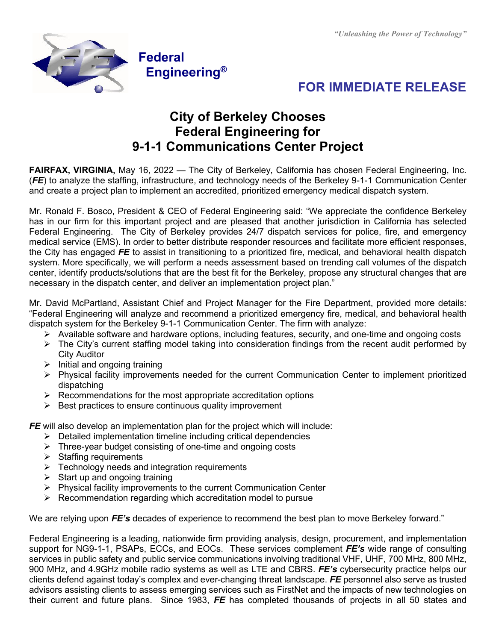



## **City of Berkeley Chooses Federal Engineering for 9-1-1 Communications Center Project**

**FAIRFAX, VIRGINIA,** May 16, 2022 — The City of Berkeley, California has chosen Federal Engineering, Inc. (*FE*) to analyze the staffing, infrastructure, and technology needs of the Berkeley 9-1-1 Communication Center and create a project plan to implement an accredited, prioritized emergency medical dispatch system.

Mr. Ronald F. Bosco, President & CEO of Federal Engineering said: "We appreciate the confidence Berkeley has in our firm for this important project and are pleased that another jurisdiction in California has selected Federal Engineering. The City of Berkeley provides 24/7 dispatch services for police, fire, and emergency medical service (EMS). In order to better distribute responder resources and facilitate more efficient responses, the City has engaged *FE* to assist in transitioning to a prioritized fire, medical, and behavioral health dispatch system. More specifically, we will perform a needs assessment based on trending call volumes of the dispatch center, identify products/solutions that are the best fit for the Berkeley, propose any structural changes that are necessary in the dispatch center, and deliver an implementation project plan."

Mr. David McPartland, Assistant Chief and Project Manager for the Fire Department, provided more details: "Federal Engineering will analyze and recommend a prioritized emergency fire, medical, and behavioral health dispatch system for the Berkeley 9-1-1 Communication Center. The firm with analyze:

- Available software and hardware options, including features, security, and one-time and ongoing costs
- $\triangleright$  The City's current staffing model taking into consideration findings from the recent audit performed by City Auditor
- $\triangleright$  Initial and ongoing training
- Physical facility improvements needed for the current Communication Center to implement prioritized dispatching
- $\triangleright$  Recommendations for the most appropriate accreditation options
- $\triangleright$  Best practices to ensure continuous quality improvement

**FE** will also develop an implementation plan for the project which will include:

- $\triangleright$  Detailed implementation timeline including critical dependencies
- $\triangleright$  Three-vear budget consisting of one-time and ongoing costs
- $\triangleright$  Staffing requirements
- $\triangleright$  Technology needs and integration requirements
- $\triangleright$  Start up and ongoing training
- $\triangleright$  Physical facility improvements to the current Communication Center
- $\triangleright$  Recommendation regarding which accreditation model to pursue

We are relying upon *FE's* decades of experience to recommend the best plan to move Berkeley forward."

Federal Engineering is a leading, nationwide firm providing analysis, design, procurement, and implementation support for NG9-1-1, PSAPs, ECCs, and EOCs. These services complement *FE's* wide range of consulting services in public safety and public service communications involving traditional VHF, UHF, 700 MHz, 800 MHz, 900 MHz, and 4.9GHz mobile radio systems as well as LTE and CBRS. *FE's* cybersecurity practice helps our clients defend against today's complex and ever-changing threat landscape. *FE* personnel also serve as trusted advisors assisting clients to assess emerging services such as FirstNet and the impacts of new technologies on their current and future plans. Since 1983, *FE* has completed thousands of projects in all 50 states and